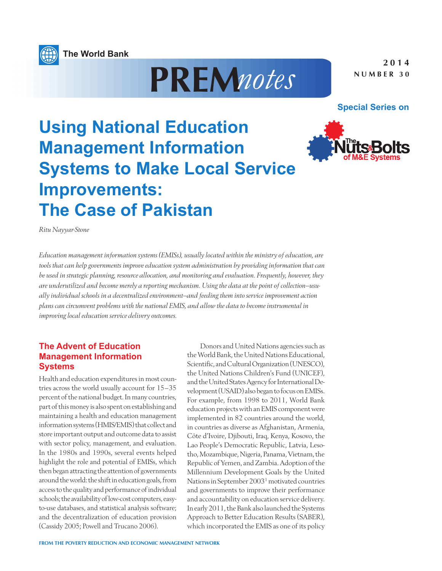





# **Using National Education Management Information Systems to Make Local Service Improvements: The Case of Pakistan**

*Ritu Nayyar-Stone*

*Education management information systems (EMISs), usually located within the ministry of education, are tools that can help governments improve education system administration by providing information that can be used in strategic planning, resource allocation, and monitoring and evaluation. Frequently, however, they are underutilized and become merely a reporting mechanism. Using the data at the point of collection—usually individual schools in a decentralized environment—and feeding them into service improvement action plans can circumvent problems with the national EMIS, and allow the data to become instrumental in improving local education service delivery outcomes.*

## **The Advent of Education Management Information Systems**

Health and education expenditures in most countries across the world usually account for 15–35 percent of the national budget. In many countries, part of this money is also spent on establishing and maintaining a health and education management information systems (HMIS/EMIS) that collect and store important output and outcome data to assist with sector policy, management, and evaluation. In the 1980s and 1990s, several events helped highlight the role and potential of EMISs, which then began attracting the attention of governments around the world: the shift in education goals, from access to the quality and performance of individual schools; the availability of low-cost computers, easyto-use databases, and statistical analysis software; and the decentralization of education provision (Cassidy 2005; Powell and Trucano 2006).

Donors and United Nations agencies such as the World Bank, the United Nations Educational, Scientific, and Cultural Organization (UNESCO), the United Nations Children's Fund (UNICEF), and the United States Agency for International Development (USAID) also began to focus on EMISs. For example, from 1998 to 2011, World Bank education projects with an EMIS component were implemented in 82 countries around the world, in countries as diverse as Afghanistan, Armenia, Côte d'Ivoire, Djibouti, Iraq, Kenya, Kosovo, the Lao People's Democratic Republic, Latvia, Lesotho, Mozambique, Nigeria, Panama, Vietnam, the Republic of Yemen, and Zambia. Adoption of the Millennium Development Goals by the United Nations in September 20031 motivated countries and governments to improve their performance and accountability on education service delivery. In early 2011, the Bank also launched the Systems Approach to Better Education Results (SABER), which incorporated the EMIS as one of its policy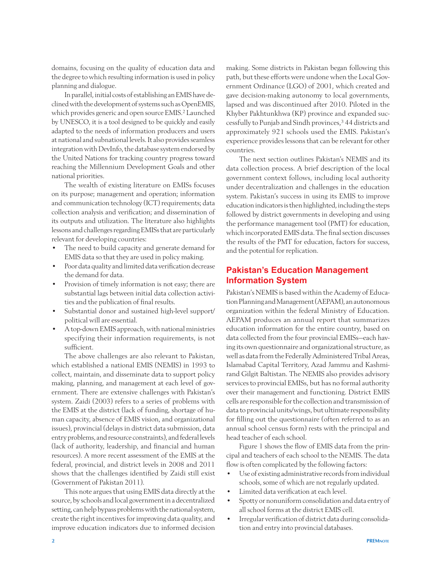domains, focusing on the quality of education data and the degree to which resulting information is used in policy planning and dialogue.

In parallel, initial costs of establishing an EMIS have declined with the development of systems such as OpenEMIS, which provides generic and open source EMIS.<sup>2</sup> Launched by UNESCO, it is a tool designed to be quickly and easily adapted to the needs of information producers and users at national and subnational levels. It also provides seamless integration with DevInfo, the database system endorsed by the United Nations for tracking country progress toward reaching the Millennium Development Goals and other national priorities.

The wealth of existing literature on EMISs focuses on its purpose; management and operation; information and communication technology (ICT) requirements; data collection analysis and verification; and dissemination of its outputs and utilization. The literature also highlights lessons and challenges regarding EMISs that are particularly relevant for developing countries:

- The need to build capacity and generate demand for EMIS data so that they are used in policy making.
- Poor data quality and limited data verification decrease the demand for data.
- Provision of timely information is not easy; there are substantial lags between initial data collection activities and the publication of final results.
- Substantial donor and sustained high-level support/ political will are essential.
- A top-down EMIS approach, with national ministries specifying their information requirements, is not sufficient.

The above challenges are also relevant to Pakistan, which established a national EMIS (NEMIS) in 1993 to collect, maintain, and disseminate data to support policy making, planning, and management at each level of government. There are extensive challenges with Pakistan's system. Zaidi (2003) refers to a series of problems with the EMIS at the district (lack of funding, shortage of human capacity, absence of EMIS vision, and organizational issues), provincial (delays in district data submission, data entry problems, and resource constraints), and federal levels (lack of authority, leadership, and financial and human resources). A more recent assessment of the EMIS at the federal, provincial, and district levels in 2008 and 2011 shows that the challenges identified by Zaidi still exist (Government of Pakistan 2011).

This note argues that using EMIS data directly at the source, by schools and local government in a decentralized setting, can help bypass problems with the national system, create the right incentives for improving data quality, and improve education indicators due to informed decision

making. Some districts in Pakistan began following this path, but these efforts were undone when the Local Government Ordinance (LGO) of 2001, which created and gave decision-making autonomy to local governments, lapsed and was discontinued after 2010. Piloted in the Khyber Pakhtunkhwa (KP) province and expanded successfully to Punjab and Sindh provinces,<sup>3</sup> 44 districts and approximately 921 schools used the EMIS. Pakistan's experience provides lessons that can be relevant for other countries.

The next section outlines Pakistan's NEMIS and its data collection process. A brief description of the local government context follows, including local authority under decentralization and challenges in the education system. Pakistan's success in using its EMIS to improve education indicators is then highlighted, including the steps followed by district governments in developing and using the performance management tool (PMT) for education, which incorporated EMIS data. The final section discusses the results of the PMT for education, factors for success, and the potential for replication.

## **Pakistan's Education Management Information System**

Pakistan's NEMIS is based within the Academy of Education Planning and Management (AEPAM), an autonomous organization within the federal Ministry of Education. AEPAM produces an annual report that summarizes education information for the entire country, based on data collected from the four provincial EMISs—each having its own questionnaire and organizational structure, as well as data from the Federally Administered Tribal Areas, Islamabad Capital Territory, Azad Jammu and Kashmirand Gilgit Baltistan. The NEMIS also provides advisory services to provincial EMISs, but has no formal authority over their management and functioning. District EMIS cells are responsible for the collection and transmission of data to provincial units/wings, but ultimate responsibility for filling out the questionnaire (often referred to as an annual school census form) rests with the principal and head teacher of each school.

Figure 1 shows the flow of EMIS data from the principal and teachers of each school to the NEMIS. The data flow is often complicated by the following factors:

- • Use of existing administrative records from individual schools, some of which are not regularly updated.
- Limited data verification at each level.
- • Spotty or nonuniform consolidation and data entry of all school forms at the district EMIS cell.
- • Irregular verification of district data during consolidation and entry into provincial databases.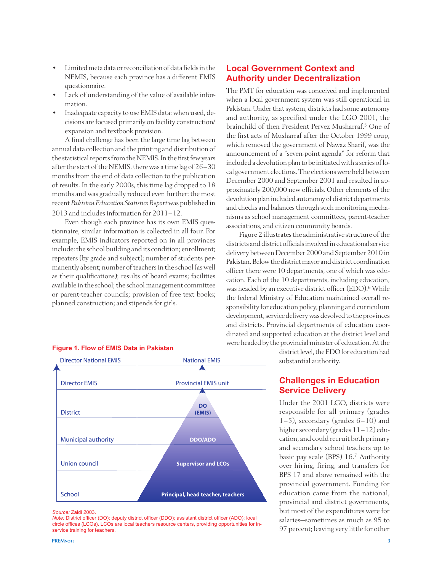- Limited meta data or reconciliation of data fields in the NEMIS, because each province has a different EMIS questionnaire.
- Lack of understanding of the value of available information.
- Inadequate capacity to use EMIS data; when used, decisions are focused primarily on facility construction/ expansion and textbook provision.

A final challenge has been the large time lag between annual data collection and the printing and distribution of the statistical reports from the NEMIS. In the first few years after the start of the NEMIS, there was a time lag of 26–30 months from the end of data collection to the publication of results. In the early 2000s, this time lag dropped to 18 months and was gradually reduced even further; the most recent *Pakistan Education Statistics Report* was published in 2013 and includes information for 2011–12.

Even though each province has its own EMIS questionnaire, similar information is collected in all four. For example, EMIS indicators reported on in all provinces include: the school building and its condition; enrollment; repeaters (by grade and subject); number of students permanently absent; number of teachers in the school (as well as their qualifications); results of board exams; facilities available in the school; the school management committee or parent-teacher councils; provision of free text books; planned construction; and stipends for girls.

## **Local Government Context and Authority under Decentralization**

The PMT for education was conceived and implemented when a local government system was still operational in Pakistan. Under that system, districts had some autonomy and authority, as specified under the LGO 2001, the brainchild of then President Pervez Musharraf.5 One of the first acts of Musharraf after the October 1999 coup, which removed the government of Nawaz Sharif, was the announcement of a "seven-point agenda" for reform that included a devolution plan to be initiated with a series of local government elections. The elections were held between December 2000 and September 2001 and resulted in approximately 200,000 new officials. Other elements of the devolution plan included autonomy of district departments and checks and balances through such monitoring mechanisms as school management committees, parent-teacher associations, and citizen community boards.

Figure 2 illustrates the administrative structure of the districts and district officials involved in educational service delivery between December 2000 and September 2010 in Pakistan. Below the district mayor and district coordination officer there were 10 departments, one of which was education. Each of the 10 departments, including education, was headed by an executive district officer (EDO).<sup>6</sup> While the federal Ministry of Education maintained overall responsibility for education policy, planning and curriculum development, service delivery was devolved to the provinces and districts. Provincial departments of education coordinated and supported education at the district level and were headed by the provincial minister of education. At the

Director EMIS **District** Director National EMIS Municipal authority **DO (EMIS) DDO/ADO Supervisor and LCOs Principal, head teacher, teachers** Union council **School** National EMIS Provincial EMIS unit

#### **Figure 1. Flow of EMIS Data in Pakistan**

#### *Source:* Zaidi 2003.

*Note:* District officer (DO); deputy district officer (DDO); assistant district officer (ADO); local circle offices (LCOs). LCOs are local teachers resource centers, providing opportunities for inservice training for teachers.

district level, the EDO for education had substantial authority.

## **Challenges in Education Service Delivery**

Under the 2001 LGO, districts were responsible for all primary (grades 1–5), secondary (grades 6–10) and higher secondary (grades 11–12) education, and could recruit both primary and secondary school teachers up to basic pay scale (BPS) 16.7 Authority over hiring, firing, and transfers for BPS 17 and above remained with the provincial government. Funding for education came from the national, provincial and district governments, but most of the expenditures were for salaries—sometimes as much as 95 to 97 percent; leaving very little for other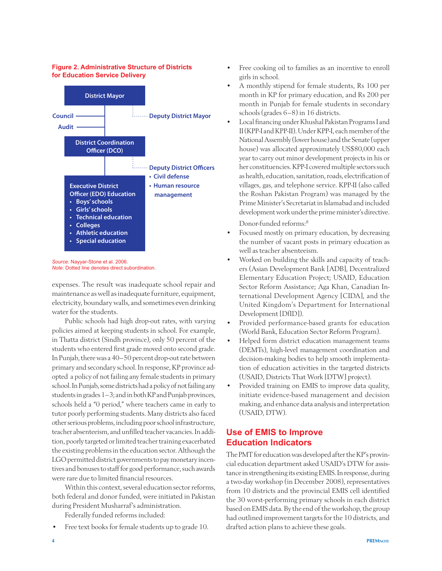#### **Figure 2. Administrative Structure of Districts for Education Service Delivery**



*Source:* Nayyar-Stone et al. 2006. *Note:* Dotted line denotes direct subordination.

expenses. The result was inadequate school repair and maintenance as well as inadequate furniture, equipment, electricity, boundary walls, and sometimes even drinking water for the students.

Public schools had high drop-out rates, with varying policies aimed at keeping students in school. For example, in Thatta district (Sindh province), only 50 percent of the students who entered first grade moved onto second grade. In Punjab, there was a 40–50 percent drop-out rate between primary and secondary school. In response, KP province adopted a policy of not failing any female students in primary school. In Punjab, some districts had a policy of not failing any students in grades 1–3; and in both KP and Punjab provinces, schools held a "0 period," where teachers came in early to tutor poorly performing students. Many districts also faced other serious problems, including poor school infrastructure, teacher absenteeism, and unfilled teacher vacancies. In addition, poorly targeted or limited teacher training exacerbated the existing problems in the education sector. Although the LGO permitted district governments to pay monetary incentives and bonuses to staff for good performance, such awards were rare due to limited financial resources.

Within this context, several education sector reforms, both federal and donor funded, were initiated in Pakistan during President Musharraf's administration.

Federally funded reforms included:

Free text books for female students up to grade 10.

- Free cooking oil to families as an incentive to enroll girls in school.
- A monthly stipend for female students, Rs 100 per month in KP for primary education, and Rs 200 per month in Punjab for female students in secondary schools (grades 6–8) in 16 districts.
- Local financing under Khushal Pakistan Programs I and II (KPP-I and KPP-II). Under KPP-I, each member of the National Assembly (lower house) and the Senate (upper house) was allocated approximately US\$80,000 each year to carry out minor development projects in his or her constituencies. KPP-I covered multiple sectors such as health, education, sanitation, roads, electrification of villages, gas, and telephone service. KPP-II (also called the Roshan Pakistan Program) was managed by the Prime Minister's Secretariat in Islamabad and included development work under the prime minister's directive.

Donor-funded reforms:8

- Focused mostly on primary education, by decreasing the number of vacant posts in primary education as well as teacher absenteeism.
- Worked on building the skills and capacity of teachers (Asian Development Bank [ADB], Decentralized Elementary Education Project; USAID, Education Sector Reform Assistance; Aga Khan, Canadian International Development Agency [CIDA], and the United Kingdom's Department for International Development [DfID]).
- Provided performance-based grants for education (World Bank, Education Sector Reform Program).
- Helped form district education management teams (DEMTs), high-level management coordination and decision-making bodies to help smooth implementation of education activities in the targeted districts (USAID, Districts That Work [DTW] project).
- Provided training on EMIS to improve data quality, initiate evidence-based management and decision making, and enhance data analysis and interpretation (USAID, DTW).

## **Use of EMIS to Improve Education Indicators**

The PMT for education was developed after the KP's provincial education department asked USAID's DTW for assistance in strengthening its existing EMIS. In response, during a two-day workshop (in December 2008), representatives from 10 districts and the provincial EMIS cell identified the 30 worst-performing primary schools in each district based on EMIS data. By the end of the workshop, the group had outlined improvement targets for the 10 districts, and drafted action plans to achieve these goals.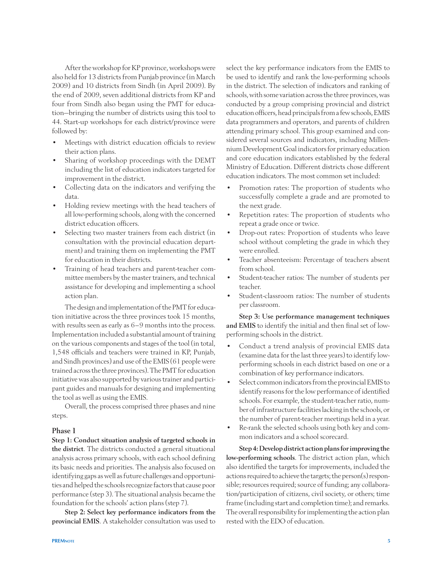After the workshop for KP province, workshops were also held for 13 districts from Punjab province (in March 2009) and 10 districts from Sindh (in April 2009). By the end of 2009, seven additional districts from KP and four from Sindh also began using the PMT for education—bringing the number of districts using this tool to 44. Start-up workshops for each district/province were followed by:

- Meetings with district education officials to review their action plans.
- Sharing of workshop proceedings with the DEMT including the list of education indicators targeted for improvement in the district.
- • Collecting data on the indicators and verifying the data.
- Holding review meetings with the head teachers of all low-performing schools, along with the concerned district education officers.
- Selecting two master trainers from each district (in consultation with the provincial education department) and training them on implementing the PMT for education in their districts.
- Training of head teachers and parent-teacher committee members by the master trainers, and technical assistance for developing and implementing a school action plan.

The design and implementation of the PMT for education initiative across the three provinces took 15 months, with results seen as early as 6–9 months into the process. Implementation included a substantial amount of training on the various components and stages of the tool (in total, 1,548 officials and teachers were trained in KP, Punjab, and Sindh provinces) and use of the EMIS (61 people were trained across the three provinces). The PMT for education initiative was also supported by various trainer and participant guides and manuals for designing and implementing the tool as well as using the EMIS.

Overall, the process comprised three phases and nine steps.

### Phase 1

Step 1: Conduct situation analysis of targeted schools in the district. The districts conducted a general situational analysis across primary schools, with each school defining its basic needs and priorities. The analysis also focused on identifying gaps as well as future challenges and opportunities and helped the schools recognize factors that cause poor performance (step 3). The situational analysis became the foundation for the schools' action plans (step 7).

Step 2: Select key performance indicators from the provincial EMIS. A stakeholder consultation was used to

select the key performance indicators from the EMIS to be used to identify and rank the low-performing schools in the district. The selection of indicators and ranking of schools, with some variation across the three provinces, was conducted by a group comprising provincial and district education officers, head principals from a few schools, EMIS data programmers and operators, and parents of children attending primary school. This group examined and considered several sources and indicators, including Millennium Development Goal indicators for primary education and core education indicators established by the federal Ministry of Education. Different districts chose different education indicators. The most common set included:

- Promotion rates: The proportion of students who successfully complete a grade and are promoted to the next grade.
- • Repetition rates: The proportion of students who repeat a grade once or twice.
- Drop-out rates: Proportion of students who leave school without completing the grade in which they were enrolled.
- Teacher absenteeism: Percentage of teachers absent from school.
- Student-teacher ratios: The number of students per teacher.
- Student-classroom ratios: The number of students per classroom.

Step 3: Use performance management techniques and EMIS to identify the initial and then final set of lowperforming schools in the district.

- Conduct a trend analysis of provincial EMIS data (examine data for the last three years) to identify lowperforming schools in each district based on one or a combination of key performance indicators.
- Select common indicators from the provincial EMIS to identify reasons for the low performance of identified schools. For example, the student-teacher ratio, number of infrastructure facilities lacking in the schools, or the number of parent-teacher meetings held in a year.
- • Re-rank the selected schools using both key and common indicators and a school scorecard.

Step 4: Develop district action plans for improving the low-performing schools. The district action plan, which also identified the targets for improvements, included the actions required to achieve the targets; the person(s) responsible; resources required; source of funding; any collaboration/participation of citizens, civil society, or others; time frame (including start and completion time); and remarks. The overall responsibility for implementing the action plan rested with the EDO of education.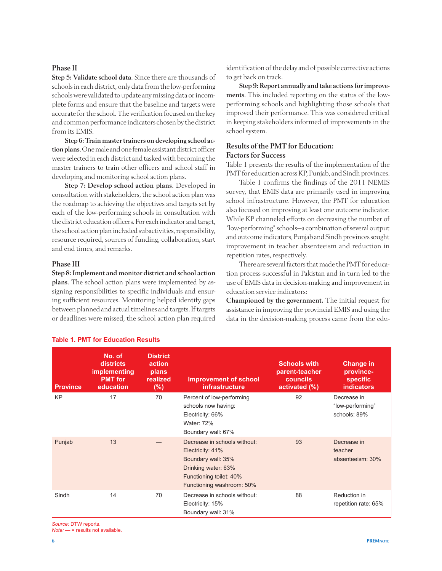#### Phase II

Step 5: Validate school data. Since there are thousands of schools in each district, only data from the low-performing schools were validated to update any missing data or incomplete forms and ensure that the baseline and targets were accurate for the school. The verification focused on the key and common performance indicators chosen by the district from its EMIS.

Step 6: Train master trainers on developing school action plans. One male and one female assistant district officer were selected in each district and tasked with becoming the master trainers to train other officers and school staff in developing and monitoring school action plans.

Step 7: Develop school action plans. Developed in consultation with stakeholders, the school action plan was the roadmap to achieving the objectives and targets set by each of the low-performing schools in consultation with the district education officers. For each indicator and target, the school action plan included subactivities, responsibility, resource required, sources of funding, collaboration, start and end times, and remarks.

### Phase III

Step 8: Implement and monitor district and school action plans. The school action plans were implemented by assigning responsibilities to specific individuals and ensuring sufficient resources. Monitoring helped identify gaps between planned and actual timelines and targets. If targets or deadlines were missed, the school action plan required

identification of the delay and of possible corrective actions to get back on track.

Step 9: Report annually and take actions for improvements. This included reporting on the status of the lowperforming schools and highlighting those schools that improved their performance. This was considered critical in keeping stakeholders informed of improvements in the school system.

## Results of the PMT for Education: Factors for Success

Table 1 presents the results of the implementation of the PMT for education across KP, Punjab, and Sindh provinces.

Table 1 confirms the findings of the 2011 NEMIS survey, that EMIS data are primarily used in improving school infrastructure. However, the PMT for education also focused on improving at least one outcome indicator. While KP channeled efforts on decreasing the number of "low-performing" schools—a combination of several output and outcome indicators, Punjab and Sindh provinces sought improvement in teacher absenteeism and reduction in repetition rates, respectively.

There are several factors that made the PMT for education process successful in Pakistan and in turn led to the use of EMIS data in decision-making and improvement in education service indicators:

Championed by the government. The initial request for assistance in improving the provincial EMIS and using the data in the decision-making process came from the edu-

| <b>Province</b> | No. of<br>districts<br><i>implementing</i><br><b>PMT</b> for<br>education | <b>District</b><br>action<br>plans<br>realized<br>$(\%)$ | <b>Improvement of school</b><br>infrastructure                                                                                                        | <b>Schools with</b><br>parent-teacher<br><b>councils</b><br>activated (%) | <b>Change in</b><br>province-<br><b>specific</b><br><b>indicators</b> |
|-----------------|---------------------------------------------------------------------------|----------------------------------------------------------|-------------------------------------------------------------------------------------------------------------------------------------------------------|---------------------------------------------------------------------------|-----------------------------------------------------------------------|
| <b>KP</b>       | 17                                                                        | 70                                                       | Percent of low-performing<br>schools now having:<br>Electricity: 66%<br>Water: 72%<br>Boundary wall: 67%                                              | 92                                                                        | Decrease in<br>"low-performing"<br>schools: 89%                       |
| Punjab          | 13                                                                        |                                                          | Decrease in schools without:<br>Electricity: 41%<br>Boundary wall: 35%<br>Drinking water: 63%<br>Functioning toilet: 40%<br>Functioning washroom: 50% | 93                                                                        | Decrease in<br>teacher<br>absenteeism: 30%                            |
| Sindh           | 14                                                                        | 70                                                       | Decrease in schools without:<br>Electricity: 15%<br>Boundary wall: 31%                                                                                | 88                                                                        | Reduction in<br>repetition rate: 65%                                  |

#### **Table 1. PMT for Education Results**

*Source:* DTW reports.

*Note:* — = results not available.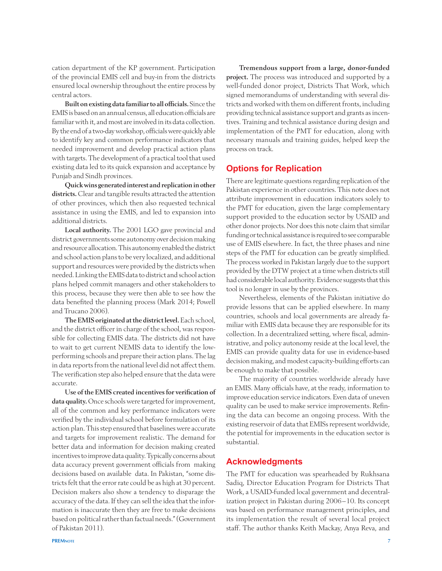cation department of the KP government. Participation of the provincial EMIS cell and buy-in from the districts ensured local ownership throughout the entire process by central actors.

Built on existing data familiar to all officials. Since the EMIS is based on an annual census, all education officials are familiar with it, and most are involved in its data collection. By the end of a two-day workshop, officials were quickly able to identify key and common performance indicators that needed improvement and develop practical action plans with targets. The development of a practical tool that used existing data led to its quick expansion and acceptance by Punjab and Sindh provinces.

Quick wins generated interest and replication in other districts. Clear and tangible results attracted the attention of other provinces, which then also requested technical assistance in using the EMIS, and led to expansion into additional districts.

Local authority. The 2001 LGO gave provincial and district governments some autonomy over decision making and resource allocation. This autonomy enabled the district and school action plans to be very localized, and additional support and resources were provided by the districts when needed. Linking the EMIS data to district and school action plans helped commit managers and other stakeholders to this process, because they were then able to see how the data benefited the planning process (Mark 2014; Powell and Trucano 2006).

The EMIS originated at the district level. Each school, and the district officer in charge of the school, was responsible for collecting EMIS data. The districts did not have to wait to get current NEMIS data to identify the lowperforming schools and prepare their action plans. The lag in data reports from the national level did not affect them. The verification step also helped ensure that the data were accurate.

Use of the EMIS created incentives for verification of data quality. Once schools were targeted for improvement, all of the common and key performance indicators were verified by the individual school before formulation of its action plan. This step ensured that baselines were accurate and targets for improvement realistic. The demand for better data and information for decision making created incentives to improve data quality. Typically concerns about data accuracy prevent government officials from making decisions based on available data. In Pakistan, "some districts felt that the error rate could be as high at 30 percent. Decision makers also show a tendency to disparage the accuracy of the data. If they can sell the idea that the information is inaccurate then they are free to make decisions based on political rather than factual needs." (Government of Pakistan 2011).

Tremendous support from a large, donor-funded project. The process was introduced and supported by a well-funded donor project, Districts That Work, which signed memorandums of understanding with several districts and worked with them on different fronts, including providing technical assistance support and grants as incentives. Training and technical assistance during design and implementation of the PMT for education, along with necessary manuals and training guides, helped keep the process on track.

## **Options for Replication**

There are legitimate questions regarding replication of the Pakistan experience in other countries. This note does not attribute improvement in education indicators solely to the PMT for education, given the large complementary support provided to the education sector by USAID and other donor projects. Nor does this note claim that similar funding or technical assistance is required to see comparable use of EMIS elsewhere. In fact, the three phases and nine steps of the PMT for education can be greatly simplified. The process worked in Pakistan largely due to the support provided by the DTW project at a time when districts still had considerable local authority. Evidence suggests that this tool is no longer in use by the provinces.

Nevertheless, elements of the Pakistan initiative do provide lessons that can be applied elsewhere. In many countries, schools and local governments are already familiar with EMIS data because they are responsible for its collection. In a decentralized setting, where fiscal, administrative, and policy autonomy reside at the local level, the EMIS can provide quality data for use in evidence-based decision making, and modest capacity-building efforts can be enough to make that possible.

The majority of countries worldwide already have an EMIS. Many officials have, at the ready, information to improve education service indicators. Even data of uneven quality can be used to make service improvements. Refining the data can become an ongoing process. With the existing reservoir of data that EMISs represent worldwide, the potential for improvements in the education sector is substantial.

## **Acknowledgments**

The PMT for education was spearheaded by Rukhsana Sadiq, Director Education Program for Districts That Work, a USAID-funded local government and decentralization project in Pakistan during 2006–10. Its concept was based on performance management principles, and its implementation the result of several local project staff. The author thanks Keith Mackay, Anya Reva, and